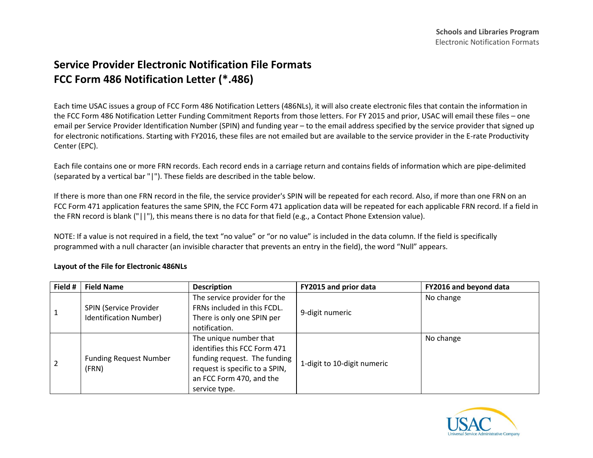## **Service Provider Electronic Notification File Formats FCC Form 486 Notification Letter (\*.486)**

Each time USAC issues a group of FCC Form 486 Notification Letters (486NLs), it will also create electronic files that contain the information in the FCC Form 486 Notification Letter Funding Commitment Reports from those letters. For FY 2015 and prior, USAC will email these files – one email per Service Provider Identification Number (SPIN) and funding year – to the email address specified by the service provider that signed up for electronic notifications. Starting with FY2016, these files are not emailed but are available to the service provider in the E-rate Productivity Center (EPC).

Each file contains one or more FRN records. Each record ends in a carriage return and contains fields of information which are pipe-delimited (separated by a vertical bar "|"). These fields are described in the table below.

If there is more than one FRN record in the file, the service provider's SPIN will be repeated for each record. Also, if more than one FRN on an FCC Form 471 application features the same SPIN, the FCC Form 471 application data will be repeated for each applicable FRN record. If a field in the FRN record is blank ("||"), this means there is no data for that field (e.g., a Contact Phone Extension value).

NOTE: If a value is not required in a field, the text "no value" or "or no value" is included in the data column. If the field is specifically programmed with a null character (an invisible character that prevents an entry in the field), the word "Null" appears.

| Field #        | <b>Field Name</b>                                | <b>Description</b>                                                                                                                                                    | FY2015 and prior data       | FY2016 and beyond data |
|----------------|--------------------------------------------------|-----------------------------------------------------------------------------------------------------------------------------------------------------------------------|-----------------------------|------------------------|
|                | SPIN (Service Provider<br>Identification Number) | The service provider for the<br>FRNs included in this FCDL.<br>There is only one SPIN per<br>notification.                                                            | 9-digit numeric             | No change              |
| $\overline{2}$ | <b>Funding Request Number</b><br>(FRN)           | The unique number that<br>identifies this FCC Form 471<br>funding request. The funding<br>request is specific to a SPIN,<br>an FCC Form 470, and the<br>service type. | 1-digit to 10-digit numeric | No change              |

## **Layout of the File for Electronic 486NLs**

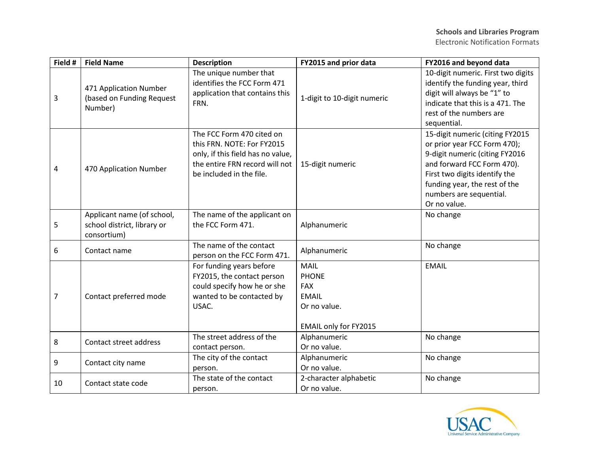| Field # | <b>Field Name</b>                                                        | <b>Description</b>                                                                                                                                         | FY2015 and prior data                                                                              | FY2016 and beyond data                                                                                                                                                                                                                       |
|---------|--------------------------------------------------------------------------|------------------------------------------------------------------------------------------------------------------------------------------------------------|----------------------------------------------------------------------------------------------------|----------------------------------------------------------------------------------------------------------------------------------------------------------------------------------------------------------------------------------------------|
| 3       | 471 Application Number<br>(based on Funding Request<br>Number)           | The unique number that<br>identifies the FCC Form 471<br>application that contains this<br>FRN.                                                            | 1-digit to 10-digit numeric                                                                        | 10-digit numeric. First two digits<br>identify the funding year, third<br>digit will always be "1" to<br>indicate that this is a 471. The<br>rest of the numbers are<br>sequential.                                                          |
| 4       | 470 Application Number                                                   | The FCC Form 470 cited on<br>this FRN. NOTE: For FY2015<br>only, if this field has no value,<br>the entire FRN record will not<br>be included in the file. | 15-digit numeric                                                                                   | 15-digit numeric (citing FY2015<br>or prior year FCC Form 470);<br>9-digit numeric (citing FY2016<br>and forward FCC Form 470).<br>First two digits identify the<br>funding year, the rest of the<br>numbers are sequential.<br>Or no value. |
| 5       | Applicant name (of school,<br>school district, library or<br>consortium) | The name of the applicant on<br>the FCC Form 471.                                                                                                          | Alphanumeric                                                                                       | No change                                                                                                                                                                                                                                    |
| 6       | Contact name                                                             | The name of the contact<br>person on the FCC Form 471.                                                                                                     | Alphanumeric                                                                                       | No change                                                                                                                                                                                                                                    |
| 7       | Contact preferred mode                                                   | For funding years before<br>FY2015, the contact person<br>could specify how he or she<br>wanted to be contacted by<br>USAC.                                | <b>MAIL</b><br><b>PHONE</b><br><b>FAX</b><br><b>EMAIL</b><br>Or no value.<br>EMAIL only for FY2015 | <b>EMAIL</b>                                                                                                                                                                                                                                 |
| 8       | Contact street address                                                   | The street address of the<br>contact person.                                                                                                               | Alphanumeric<br>Or no value.                                                                       | No change                                                                                                                                                                                                                                    |
| 9       | Contact city name                                                        | The city of the contact<br>person.                                                                                                                         | Alphanumeric<br>Or no value.                                                                       | No change                                                                                                                                                                                                                                    |
| 10      | Contact state code                                                       | The state of the contact<br>person.                                                                                                                        | 2-character alphabetic<br>Or no value.                                                             | No change                                                                                                                                                                                                                                    |

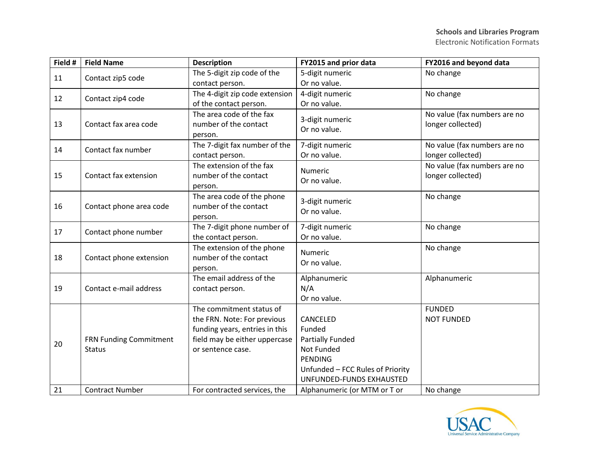| Field # | <b>Field Name</b>                       | <b>Description</b>                                                                                                                              | FY2015 and prior data                                                                                                                         | FY2016 and beyond data                            |
|---------|-----------------------------------------|-------------------------------------------------------------------------------------------------------------------------------------------------|-----------------------------------------------------------------------------------------------------------------------------------------------|---------------------------------------------------|
| 11      | Contact zip5 code                       | The 5-digit zip code of the                                                                                                                     | 5-digit numeric                                                                                                                               | No change                                         |
|         |                                         | contact person.                                                                                                                                 | Or no value.                                                                                                                                  |                                                   |
| 12      | Contact zip4 code                       | The 4-digit zip code extension                                                                                                                  | 4-digit numeric                                                                                                                               | No change                                         |
|         |                                         | of the contact person.                                                                                                                          | Or no value.                                                                                                                                  |                                                   |
| 13      | Contact fax area code                   | The area code of the fax<br>number of the contact<br>person.                                                                                    | 3-digit numeric<br>Or no value.                                                                                                               | No value (fax numbers are no<br>longer collected) |
|         |                                         | The 7-digit fax number of the                                                                                                                   | 7-digit numeric                                                                                                                               | No value (fax numbers are no                      |
| 14      | Contact fax number                      | contact person.                                                                                                                                 | Or no value.                                                                                                                                  | longer collected)                                 |
| 15      | Contact fax extension                   | The extension of the fax<br>number of the contact<br>person.                                                                                    | Numeric<br>Or no value.                                                                                                                       | No value (fax numbers are no<br>longer collected) |
| 16      | Contact phone area code                 | The area code of the phone<br>number of the contact<br>person.                                                                                  | 3-digit numeric<br>Or no value.                                                                                                               | No change                                         |
| 17      | Contact phone number                    | The 7-digit phone number of<br>the contact person.                                                                                              | 7-digit numeric<br>Or no value.                                                                                                               | No change                                         |
| 18      | Contact phone extension                 | The extension of the phone<br>number of the contact<br>person.                                                                                  | Numeric<br>Or no value.                                                                                                                       | No change                                         |
| 19      | Contact e-mail address                  | The email address of the<br>contact person.                                                                                                     | Alphanumeric<br>N/A<br>Or no value.                                                                                                           | Alphanumeric                                      |
| 20      | FRN Funding Commitment<br><b>Status</b> | The commitment status of<br>the FRN. Note: For previous<br>funding years, entries in this<br>field may be either uppercase<br>or sentence case. | CANCELED<br>Funded<br><b>Partially Funded</b><br>Not Funded<br><b>PENDING</b><br>Unfunded - FCC Rules of Priority<br>UNFUNDED-FUNDS EXHAUSTED | <b>FUNDED</b><br><b>NOT FUNDED</b>                |
| 21      | <b>Contract Number</b>                  | For contracted services, the                                                                                                                    | Alphanumeric (or MTM or T or                                                                                                                  | No change                                         |

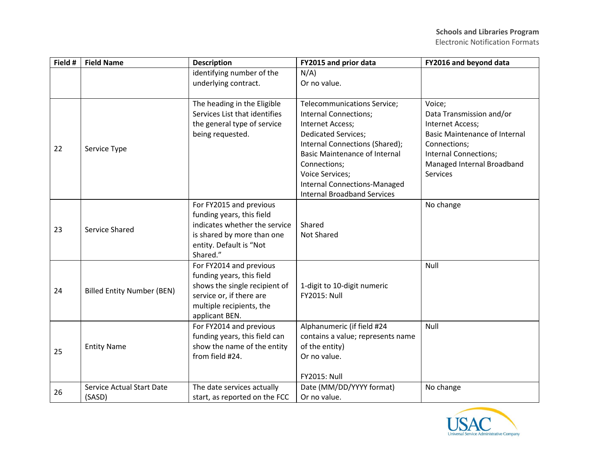Electronic Notification Formats

| Field # | <b>Field Name</b>                          | <b>Description</b>                                                                                                                                              | FY2015 and prior data                                                                                                                                                                                                                                                                                          | FY2016 and beyond data                                                                                                                                                                   |
|---------|--------------------------------------------|-----------------------------------------------------------------------------------------------------------------------------------------------------------------|----------------------------------------------------------------------------------------------------------------------------------------------------------------------------------------------------------------------------------------------------------------------------------------------------------------|------------------------------------------------------------------------------------------------------------------------------------------------------------------------------------------|
|         |                                            | identifying number of the<br>underlying contract.                                                                                                               | $N/A$ )<br>Or no value.                                                                                                                                                                                                                                                                                        |                                                                                                                                                                                          |
| 22      | Service Type                               | The heading in the Eligible<br>Services List that identifies<br>the general type of service<br>being requested.                                                 | Telecommunications Service;<br><b>Internal Connections;</b><br>Internet Access;<br><b>Dedicated Services;</b><br>Internal Connections (Shared);<br><b>Basic Maintenance of Internal</b><br>Connections;<br><b>Voice Services;</b><br><b>Internal Connections-Managed</b><br><b>Internal Broadband Services</b> | Voice;<br>Data Transmission and/or<br>Internet Access;<br><b>Basic Maintenance of Internal</b><br>Connections;<br>Internal Connections;<br>Managed Internal Broadband<br><b>Services</b> |
| 23      | Service Shared                             | For FY2015 and previous<br>funding years, this field<br>indicates whether the service<br>is shared by more than one<br>entity. Default is "Not<br>Shared."      | Shared<br><b>Not Shared</b>                                                                                                                                                                                                                                                                                    | No change                                                                                                                                                                                |
| 24      | <b>Billed Entity Number (BEN)</b>          | For FY2014 and previous<br>funding years, this field<br>shows the single recipient of<br>service or, if there are<br>multiple recipients, the<br>applicant BEN. | 1-digit to 10-digit numeric<br><b>FY2015: Null</b>                                                                                                                                                                                                                                                             | Null                                                                                                                                                                                     |
| 25      | <b>Entity Name</b>                         | For FY2014 and previous<br>funding years, this field can<br>show the name of the entity<br>from field #24.                                                      | Alphanumeric (if field #24<br>contains a value; represents name<br>of the entity)<br>Or no value.<br><b>FY2015: Null</b>                                                                                                                                                                                       | Null                                                                                                                                                                                     |
| 26      | <b>Service Actual Start Date</b><br>(SASD) | The date services actually<br>start, as reported on the FCC                                                                                                     | Date (MM/DD/YYYY format)<br>Or no value.                                                                                                                                                                                                                                                                       | No change                                                                                                                                                                                |

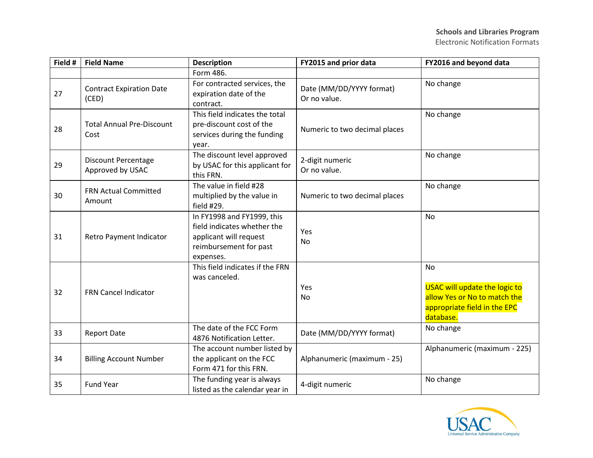| Field # | <b>Field Name</b>                              | <b>Description</b>                                                                                                         | FY2015 and prior data                    | FY2016 and beyond data                                                                                                         |
|---------|------------------------------------------------|----------------------------------------------------------------------------------------------------------------------------|------------------------------------------|--------------------------------------------------------------------------------------------------------------------------------|
|         |                                                | Form 486.                                                                                                                  |                                          |                                                                                                                                |
| 27      | <b>Contract Expiration Date</b><br>(CED)       | For contracted services, the<br>expiration date of the<br>contract.                                                        | Date (MM/DD/YYYY format)<br>Or no value. | No change                                                                                                                      |
| 28      | <b>Total Annual Pre-Discount</b><br>Cost       | This field indicates the total<br>pre-discount cost of the<br>services during the funding<br>year.                         | Numeric to two decimal places            | No change                                                                                                                      |
| 29      | <b>Discount Percentage</b><br>Approved by USAC | The discount level approved<br>by USAC for this applicant for<br>this FRN.                                                 | 2-digit numeric<br>Or no value.          | No change                                                                                                                      |
| 30      | <b>FRN Actual Committed</b><br>Amount          | The value in field #28<br>multiplied by the value in<br>field #29.                                                         | Numeric to two decimal places            | No change                                                                                                                      |
| 31      | Retro Payment Indicator                        | In FY1998 and FY1999, this<br>field indicates whether the<br>applicant will request<br>reimbursement for past<br>expenses. | Yes<br>No                                | <b>No</b>                                                                                                                      |
| 32      | FRN Cancel Indicator                           | This field indicates if the FRN<br>was canceled.                                                                           | Yes<br>No                                | <b>No</b><br><b>USAC will update the logic to</b><br>allow Yes or No to match the<br>appropriate field in the EPC<br>database. |
| 33      | <b>Report Date</b>                             | The date of the FCC Form<br>4876 Notification Letter.                                                                      | Date (MM/DD/YYYY format)                 | No change                                                                                                                      |
| 34      | <b>Billing Account Number</b>                  | The account number listed by<br>the applicant on the FCC<br>Form 471 for this FRN.                                         | Alphanumeric (maximum - 25)              | Alphanumeric (maximum - 225)                                                                                                   |
| 35      | <b>Fund Year</b>                               | The funding year is always<br>listed as the calendar year in                                                               | 4-digit numeric                          | No change                                                                                                                      |